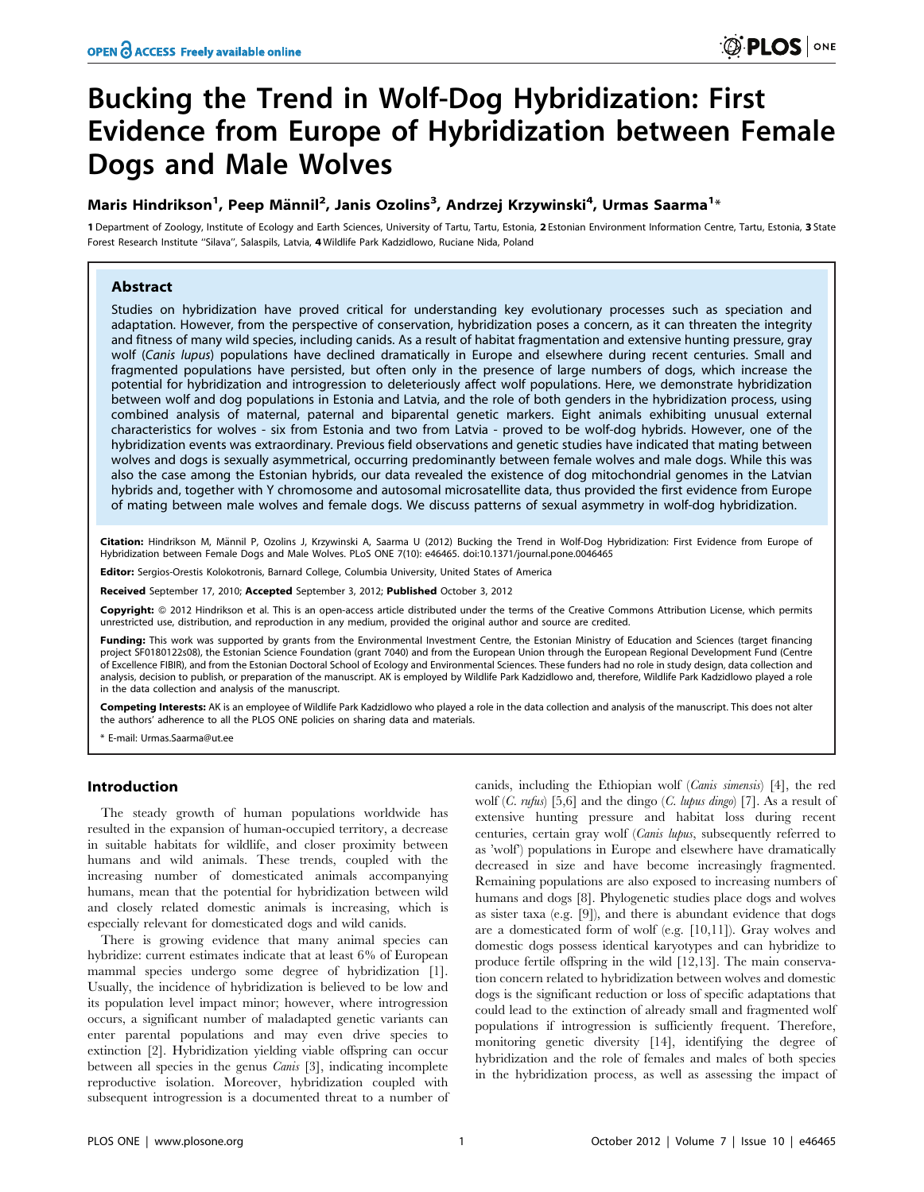# Bucking the Trend in Wolf-Dog Hybridization: First Evidence from Europe of Hybridization between Female Dogs and Male Wolves

# Maris Hindrikson<sup>1</sup>, Peep Männil<sup>2</sup>, Janis Ozolins<sup>3</sup>, Andrzej Krzywinski<sup>4</sup>, Urmas Saarma<sup>1</sup>\*

1 Department of Zoology, Institute of Ecology and Earth Sciences, University of Tartu, Tartu, Estonia, 2 Estonian Environment Information Centre, Tartu, Estonia, 3 State Forest Research Institute ''Silava'', Salaspils, Latvia, 4 Wildlife Park Kadzidlowo, Ruciane Nida, Poland

## Abstract

Studies on hybridization have proved critical for understanding key evolutionary processes such as speciation and adaptation. However, from the perspective of conservation, hybridization poses a concern, as it can threaten the integrity and fitness of many wild species, including canids. As a result of habitat fragmentation and extensive hunting pressure, gray wolf (Canis lupus) populations have declined dramatically in Europe and elsewhere during recent centuries. Small and fragmented populations have persisted, but often only in the presence of large numbers of dogs, which increase the potential for hybridization and introgression to deleteriously affect wolf populations. Here, we demonstrate hybridization between wolf and dog populations in Estonia and Latvia, and the role of both genders in the hybridization process, using combined analysis of maternal, paternal and biparental genetic markers. Eight animals exhibiting unusual external characteristics for wolves - six from Estonia and two from Latvia - proved to be wolf-dog hybrids. However, one of the hybridization events was extraordinary. Previous field observations and genetic studies have indicated that mating between wolves and dogs is sexually asymmetrical, occurring predominantly between female wolves and male dogs. While this was also the case among the Estonian hybrids, our data revealed the existence of dog mitochondrial genomes in the Latvian hybrids and, together with Y chromosome and autosomal microsatellite data, thus provided the first evidence from Europe of mating between male wolves and female dogs. We discuss patterns of sexual asymmetry in wolf-dog hybridization.

Citation: Hindrikson M, Männil P, Ozolins J, Krzywinski A, Saarma U (2012) Bucking the Trend in Wolf-Dog Hybridization: First Evidence from Europe of Hybridization between Female Dogs and Male Wolves. PLoS ONE 7(10): e46465. doi:10.1371/journal.pone.0046465

Editor: Sergios-Orestis Kolokotronis, Barnard College, Columbia University, United States of America

Received September 17, 2010; Accepted September 3, 2012; Published October 3, 2012

**Copyright:** © 2012 Hindrikson et al. This is an open-access article distributed under the terms of the Creative Commons Attribution License, which permits unrestricted use, distribution, and reproduction in any medium, provided the original author and source are credited.

Funding: This work was supported by grants from the Environmental Investment Centre, the Estonian Ministry of Education and Sciences (target financing project SF0180122s08), the Estonian Science Foundation (grant 7040) and from the European Union through the European Regional Development Fund (Centre of Excellence FIBIR), and from the Estonian Doctoral School of Ecology and Environmental Sciences. These funders had no role in study design, data collection and analysis, decision to publish, or preparation of the manuscript. AK is employed by Wildlife Park Kadzidlowo and, therefore, Wildlife Park Kadzidlowo played a role in the data collection and analysis of the manuscript.

Competing Interests: AK is an employee of Wildlife Park Kadzidlowo who played a role in the data collection and analysis of the manuscript. This does not alter the authors' adherence to all the PLOS ONE policies on sharing data and materials.

\* E-mail: Urmas.Saarma@ut.ee

### Introduction

The steady growth of human populations worldwide has resulted in the expansion of human-occupied territory, a decrease in suitable habitats for wildlife, and closer proximity between humans and wild animals. These trends, coupled with the increasing number of domesticated animals accompanying humans, mean that the potential for hybridization between wild and closely related domestic animals is increasing, which is especially relevant for domesticated dogs and wild canids.

There is growing evidence that many animal species can hybridize: current estimates indicate that at least 6% of European mammal species undergo some degree of hybridization [1]. Usually, the incidence of hybridization is believed to be low and its population level impact minor; however, where introgression occurs, a significant number of maladapted genetic variants can enter parental populations and may even drive species to extinction [2]. Hybridization yielding viable offspring can occur between all species in the genus Canis [3], indicating incomplete reproductive isolation. Moreover, hybridization coupled with subsequent introgression is a documented threat to a number of

canids, including the Ethiopian wolf (Canis simensis) [4], the red wolf  $(C. \text{rufus})$  [5,6] and the dingo  $(C. \text{lupus } \text{dingo})$  [7]. As a result of extensive hunting pressure and habitat loss during recent centuries, certain gray wolf (Canis lupus, subsequently referred to as 'wolf') populations in Europe and elsewhere have dramatically decreased in size and have become increasingly fragmented. Remaining populations are also exposed to increasing numbers of humans and dogs [8]. Phylogenetic studies place dogs and wolves as sister taxa (e.g. [9]), and there is abundant evidence that dogs are a domesticated form of wolf (e.g. [10,11]). Gray wolves and domestic dogs possess identical karyotypes and can hybridize to produce fertile offspring in the wild [12,13]. The main conservation concern related to hybridization between wolves and domestic dogs is the significant reduction or loss of specific adaptations that could lead to the extinction of already small and fragmented wolf populations if introgression is sufficiently frequent. Therefore, monitoring genetic diversity [14], identifying the degree of hybridization and the role of females and males of both species in the hybridization process, as well as assessing the impact of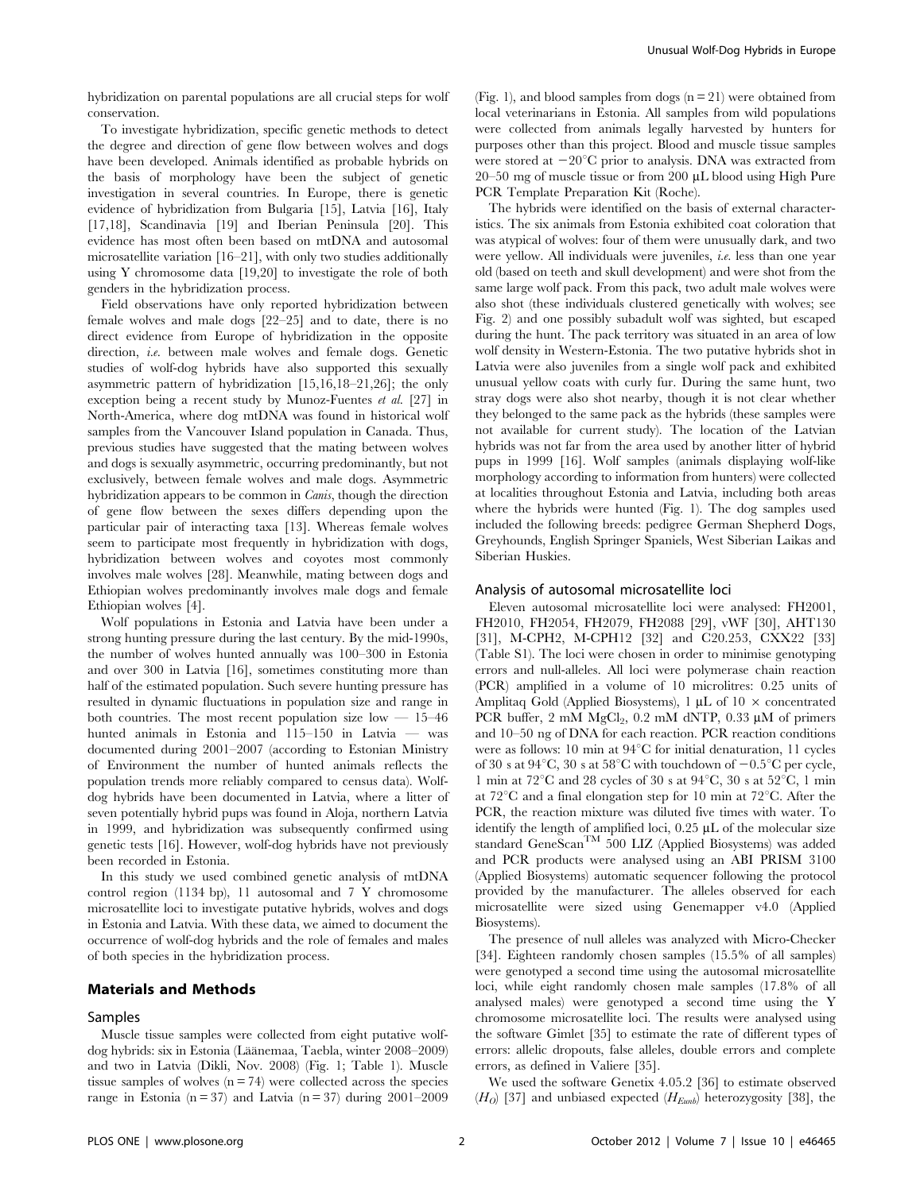hybridization on parental populations are all crucial steps for wolf conservation.

To investigate hybridization, specific genetic methods to detect the degree and direction of gene flow between wolves and dogs have been developed. Animals identified as probable hybrids on the basis of morphology have been the subject of genetic investigation in several countries. In Europe, there is genetic evidence of hybridization from Bulgaria [15], Latvia [16], Italy [17,18], Scandinavia [19] and Iberian Peninsula [20]. This evidence has most often been based on mtDNA and autosomal microsatellite variation [16–21], with only two studies additionally using Y chromosome data [19,20] to investigate the role of both genders in the hybridization process.

Field observations have only reported hybridization between female wolves and male dogs [22–25] and to date, there is no direct evidence from Europe of hybridization in the opposite direction, i.e. between male wolves and female dogs. Genetic studies of wolf-dog hybrids have also supported this sexually asymmetric pattern of hybridization [15,16,18–21,26]; the only exception being a recent study by Munoz-Fuentes et al. [27] in North-America, where dog mtDNA was found in historical wolf samples from the Vancouver Island population in Canada. Thus, previous studies have suggested that the mating between wolves and dogs is sexually asymmetric, occurring predominantly, but not exclusively, between female wolves and male dogs. Asymmetric hybridization appears to be common in *Canis*, though the direction of gene flow between the sexes differs depending upon the particular pair of interacting taxa [13]. Whereas female wolves seem to participate most frequently in hybridization with dogs, hybridization between wolves and coyotes most commonly involves male wolves [28]. Meanwhile, mating between dogs and Ethiopian wolves predominantly involves male dogs and female Ethiopian wolves [4].

Wolf populations in Estonia and Latvia have been under a strong hunting pressure during the last century. By the mid-1990s, the number of wolves hunted annually was 100–300 in Estonia and over 300 in Latvia [16], sometimes constituting more than half of the estimated population. Such severe hunting pressure has resulted in dynamic fluctuations in population size and range in both countries. The most recent population size low  $-15-46$ hunted animals in Estonia and 115–150 in Latvia — was documented during 2001–2007 (according to Estonian Ministry of Environment the number of hunted animals reflects the population trends more reliably compared to census data). Wolfdog hybrids have been documented in Latvia, where a litter of seven potentially hybrid pups was found in Aloja, northern Latvia in 1999, and hybridization was subsequently confirmed using genetic tests [16]. However, wolf-dog hybrids have not previously been recorded in Estonia.

In this study we used combined genetic analysis of mtDNA control region (1134 bp), 11 autosomal and 7 Y chromosome microsatellite loci to investigate putative hybrids, wolves and dogs in Estonia and Latvia. With these data, we aimed to document the occurrence of wolf-dog hybrids and the role of females and males of both species in the hybridization process.

#### Materials and Methods

### Samples

Muscle tissue samples were collected from eight putative wolfdog hybrids: six in Estonia (Läänemaa, Taebla, winter 2008–2009) and two in Latvia (Dikli, Nov. 2008) (Fig. 1; Table 1). Muscle tissue samples of wolves  $(n = 74)$  were collected across the species range in Estonia ( $n = 37$ ) and Latvia ( $n = 37$ ) during 2001–2009 (Fig. 1), and blood samples from dogs  $(n = 21)$  were obtained from local veterinarians in Estonia. All samples from wild populations were collected from animals legally harvested by hunters for purposes other than this project. Blood and muscle tissue samples were stored at  $-20^{\circ}$ C prior to analysis. DNA was extracted from  $20-50$  mg of muscle tissue or from  $200 \mu L$  blood using High Pure PCR Template Preparation Kit (Roche).

The hybrids were identified on the basis of external characteristics. The six animals from Estonia exhibited coat coloration that was atypical of wolves: four of them were unusually dark, and two were yellow. All individuals were juveniles, i.e. less than one year old (based on teeth and skull development) and were shot from the same large wolf pack. From this pack, two adult male wolves were also shot (these individuals clustered genetically with wolves; see Fig. 2) and one possibly subadult wolf was sighted, but escaped during the hunt. The pack territory was situated in an area of low wolf density in Western-Estonia. The two putative hybrids shot in Latvia were also juveniles from a single wolf pack and exhibited unusual yellow coats with curly fur. During the same hunt, two stray dogs were also shot nearby, though it is not clear whether they belonged to the same pack as the hybrids (these samples were not available for current study). The location of the Latvian hybrids was not far from the area used by another litter of hybrid pups in 1999 [16]. Wolf samples (animals displaying wolf-like morphology according to information from hunters) were collected at localities throughout Estonia and Latvia, including both areas where the hybrids were hunted (Fig. 1). The dog samples used included the following breeds: pedigree German Shepherd Dogs, Greyhounds, English Springer Spaniels, West Siberian Laikas and Siberian Huskies.

#### Analysis of autosomal microsatellite loci

Eleven autosomal microsatellite loci were analysed: FH2001, FH2010, FH2054, FH2079, FH2088 [29], vWF [30], AHT130 [31], M-CPH2, M-CPH12 [32] and C20.253, CXX22 [33] (Table S1). The loci were chosen in order to minimise genotyping errors and null-alleles. All loci were polymerase chain reaction (PCR) amplified in a volume of 10 microlitres: 0.25 units of Amplitag Gold (Applied Biosystems),  $1 \mu L$  of  $10 \times$  concentrated PCR buffer, 2 mM  $MgCl<sub>2</sub>$ , 0.2 mM dNTP, 0.33 µM of primers and 10–50 ng of DNA for each reaction. PCR reaction conditions were as follows: 10 min at  $94^{\circ}$ C for initial denaturation, 11 cycles of 30 s at  $94^{\circ}$ C, 30 s at  $58^{\circ}$ C with touchdown of  $-0.5^{\circ}$ C per cycle, 1 min at 72 $^{\circ}$ C and 28 cycles of 30 s at 94 $^{\circ}$ C, 30 s at 52 $^{\circ}$ C, 1 min at  $72^{\circ}$ C and a final elongation step for 10 min at  $72^{\circ}$ C. After the PCR, the reaction mixture was diluted five times with water. To identify the length of amplified loci,  $0.25 \mu L$  of the molecular size standard GeneScan<sup>TM</sup> 500 LIZ (Applied Biosystems) was added and PCR products were analysed using an ABI PRISM 3100 (Applied Biosystems) automatic sequencer following the protocol provided by the manufacturer. The alleles observed for each microsatellite were sized using Genemapper v4.0 (Applied Biosystems).

The presence of null alleles was analyzed with Micro-Checker [34]. Eighteen randomly chosen samples (15.5% of all samples) were genotyped a second time using the autosomal microsatellite loci, while eight randomly chosen male samples (17.8% of all analysed males) were genotyped a second time using the Y chromosome microsatellite loci. The results were analysed using the software Gimlet [35] to estimate the rate of different types of errors: allelic dropouts, false alleles, double errors and complete errors, as defined in Valiere [35].

We used the software Genetix 4.05.2 [36] to estimate observed  $(H<sub>O</sub>)$  [37] and unbiased expected  $(H<sub>Eunb</sub>)$  heterozygosity [38], the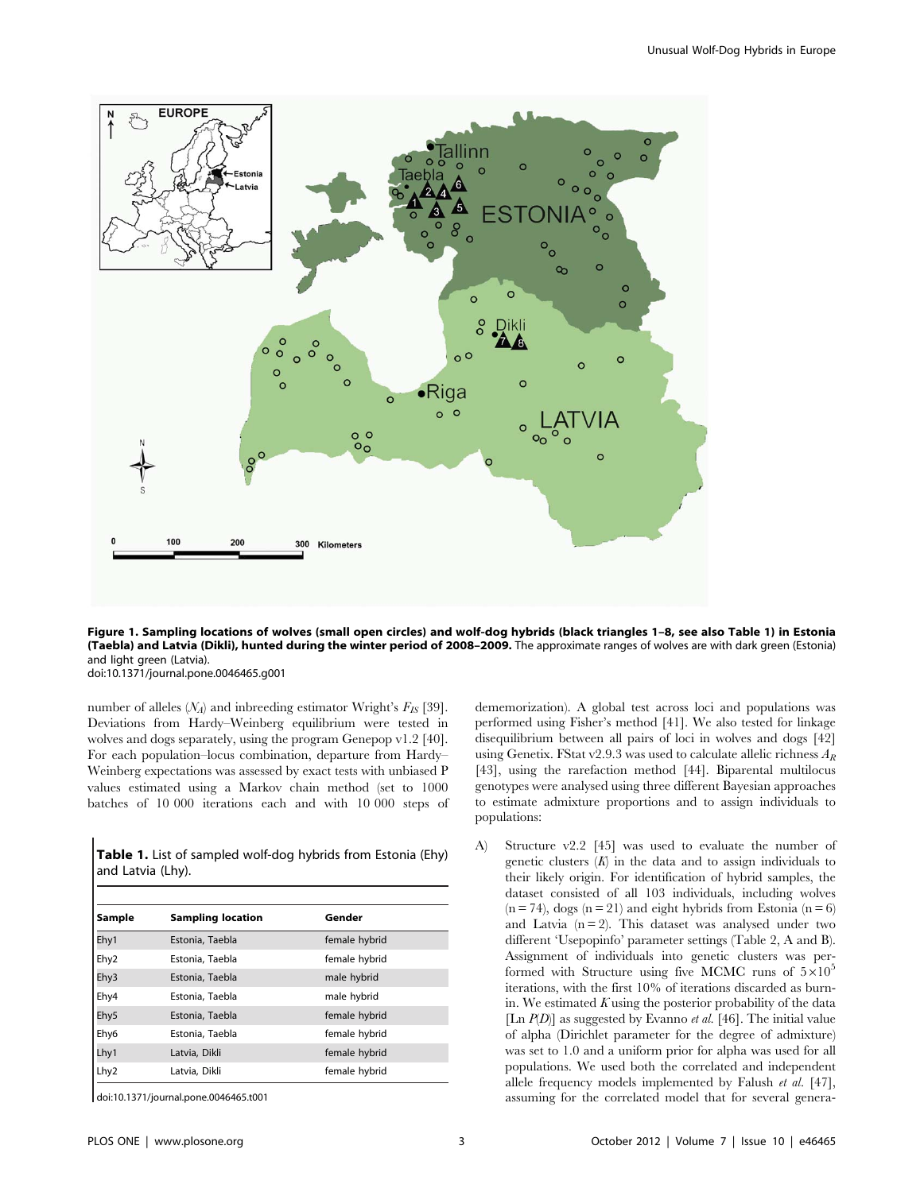

Figure 1. Sampling locations of wolves (small open circles) and wolf-dog hybrids (black triangles 1–8, see also Table 1) in Estonia (Taebla) and Latvia (Dikli), hunted during the winter period of 2008-2009. The approximate ranges of wolves are with dark green (Estonia) and light green (Latvia).

doi:10.1371/journal.pone.0046465.g001

number of alleles  $(N_A)$  and inbreeding estimator Wright's  $F_{IS}$  [39]. Deviations from Hardy–Weinberg equilibrium were tested in wolves and dogs separately, using the program Genepop v1.2 [40]. For each population–locus combination, departure from Hardy– Weinberg expectations was assessed by exact tests with unbiased P values estimated using a Markov chain method (set to 1000 batches of 10 000 iterations each and with 10 000 steps of

Table 1. List of sampled wolf-dog hybrids from Estonia (Ehy) and Latvia (Lhy).

| Sample<br><b>Sampling location</b>  | Gender        |
|-------------------------------------|---------------|
|                                     |               |
| Ehy1<br>Estonia, Taebla             | female hybrid |
| Ehy <sub>2</sub><br>Estonia, Taebla | female hybrid |
| Ehy3<br>Estonia, Taebla             | male hybrid   |
| Ehy4<br>Estonia, Taebla             | male hybrid   |
| Ehy5<br>Estonia, Taebla             | female hybrid |
| Ehy6<br>Estonia, Taebla             | female hybrid |
| Lhy1<br>Latvia, Dikli               | female hybrid |
| Lhy <sub>2</sub><br>Latvia, Dikli   | female hybrid |

doi:10.1371/journal.pone.0046465.t001

dememorization). A global test across loci and populations was performed using Fisher's method [41]. We also tested for linkage disequilibrium between all pairs of loci in wolves and dogs [42] using Genetix. FStat v2.9.3 was used to calculate allelic richness  $A_R$ [43], using the rarefaction method [44]. Biparental multilocus genotypes were analysed using three different Bayesian approaches to estimate admixture proportions and to assign individuals to populations:

A) Structure v2.2 [45] was used to evaluate the number of genetic clusters  $(K)$  in the data and to assign individuals to their likely origin. For identification of hybrid samples, the dataset consisted of all 103 individuals, including wolves  $(n = 74)$ , dogs  $(n = 21)$  and eight hybrids from Estonia  $(n = 6)$ and Latvia  $(n = 2)$ . This dataset was analysed under two different 'Usepopinfo' parameter settings (Table 2, A and B). Assignment of individuals into genetic clusters was performed with Structure using five MCMC runs of  $5\times10^{5}$ iterations, with the first 10% of iterations discarded as burnin. We estimated  $K$  using the posterior probability of the data [Ln  $P(D)$ ] as suggested by Evanno *et al.* [46]. The initial value of alpha (Dirichlet parameter for the degree of admixture) was set to 1.0 and a uniform prior for alpha was used for all populations. We used both the correlated and independent allele frequency models implemented by Falush et al. [47], assuming for the correlated model that for several genera-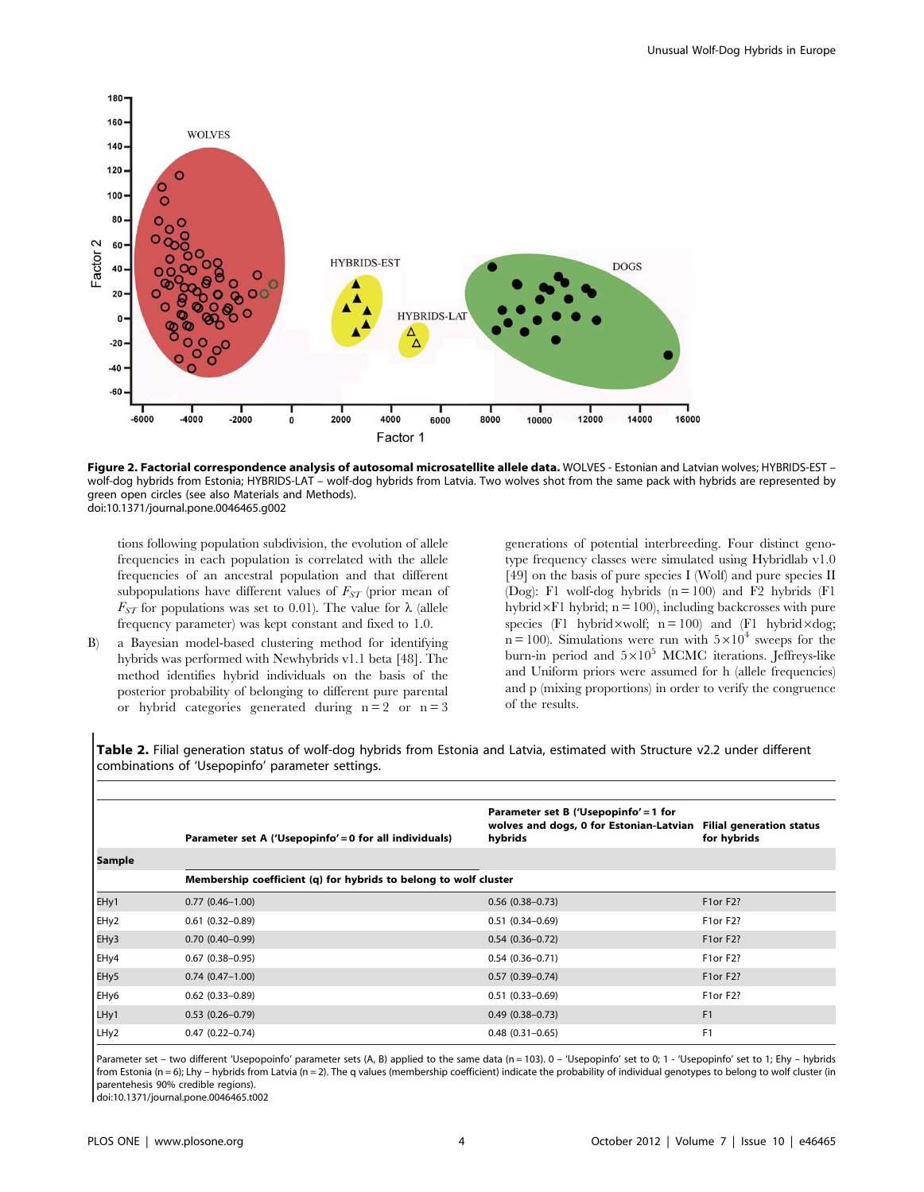

Figure 2. Factorial correspondence analysis of autosomal microsatellite allele data. WOLVES - Estonian and Latvian wolves; HYBRIDS-EST – wolf-dog hybrids from Estonia; HYBRIDS-LAT – wolf-dog hybrids from Latvia. Two wolves shot from the same pack with hybrids are represented by green open circles (see also Materials and Methods). doi:10.1371/journal.pone.0046465.g002

tions following population subdivision, the evolution of allele frequencies in each population is correlated with the allele frequencies of an ancestral population and that different subpopulations have different values of  $F_{ST}$  (prior mean of  $F_{ST}$  for populations was set to 0.01). The value for  $\lambda$  (allele frequency parameter) was kept constant and fixed to 1.0.

B) a Bayesian model-based clustering method for identifying hybrids was performed with Newhybrids v1.1 beta [48]. The method identifies hybrid individuals on the basis of the posterior probability of belonging to different pure parental or hybrid categories generated during  $n = 2$  or  $n = 3$  generations of potential interbreeding. Four distinct genotype frequency classes were simulated using Hybridlab v1.0 [49] on the basis of pure species I (Wolf) and pure species II (Dog): F1 wolf-dog hybrids  $(n = 100)$  and F2 hybrids  $(F1)$ hybrid $\times$ F1 hybrid; n = 100), including backcrosses with pure species (F1 hybrid $\times$ wolf; n = 100) and (F1 hybrid $\times$ dog;  $n = 100$ ). Simulations were run with  $5 \times 10^4$  sweeps for the burn-in period and  $5\times10^5$  MCMC iterations. Jeffreys-like and Uniform priors were assumed for h (allele frequencies) and p (mixing proportions) in order to verify the congruence of the results.

|                  | Parameter set A ('Usepopinfo' = 0 for all individuals)           | Parameter set B ('Usepopinfo' = 1 for<br>wolves and dogs, 0 for Estonian-Latvian Filial generation status<br>hybrids | for hybrids    |  |
|------------------|------------------------------------------------------------------|----------------------------------------------------------------------------------------------------------------------|----------------|--|
| Sample           |                                                                  |                                                                                                                      |                |  |
|                  | Membership coefficient (q) for hybrids to belong to wolf cluster |                                                                                                                      |                |  |
| EHy1             | $0.77(0.46 - 1.00)$                                              | $0.56$ $(0.38 - 0.73)$                                                                                               | F1or F2?       |  |
| EHy2             | $0.61(0.32 - 0.89)$                                              | $0.51(0.34 - 0.69)$                                                                                                  | F1or F2?       |  |
| EHy3             | $0.70(0.40-0.99)$                                                | $0.54(0.36 - 0.72)$                                                                                                  | F1or F2?       |  |
| EHy4             | $0.67$ $(0.38 - 0.95)$                                           | $0.54(0.36 - 0.71)$                                                                                                  | F1or F2?       |  |
| EHy5             | $0.74(0.47-1.00)$                                                | $0.57(0.39 - 0.74)$                                                                                                  | F1or F2?       |  |
| EHy6             | $0.62$ (0.33-0.89)                                               | $0.51(0.33 - 0.69)$                                                                                                  | F1or F2?       |  |
| LHy1             | $0.53$ $(0.26 - 0.79)$                                           | $0.49(0.38 - 0.73)$                                                                                                  | F <sub>1</sub> |  |
| LHy <sub>2</sub> | $0.47(0.22 - 0.74)$                                              | $0.48(0.31 - 0.65)$                                                                                                  | F <sub>1</sub> |  |

Table 2. Filial generation status of wolf-dog hybrids from Estonia and Latvia, estimated with Structure v2.2 under different combinations of 'Usepopinfo' parameter settings.

Parameter set – two different 'Usepopoinfo' parameter sets (A, B) applied to the same data (n = 103). 0 – 'Usepopinfo' set to 0; 1 - 'Usepopinfo' set to 1; Ehy – hybrids from Estonia (n = 6); Lhy – hybrids from Latvia (n = 2). The q values (membership coefficient) indicate the probability of individual genotypes to belong to wolf cluster (in parentehesis 90% credible regions).

doi:10.1371/journal.pone.0046465.t002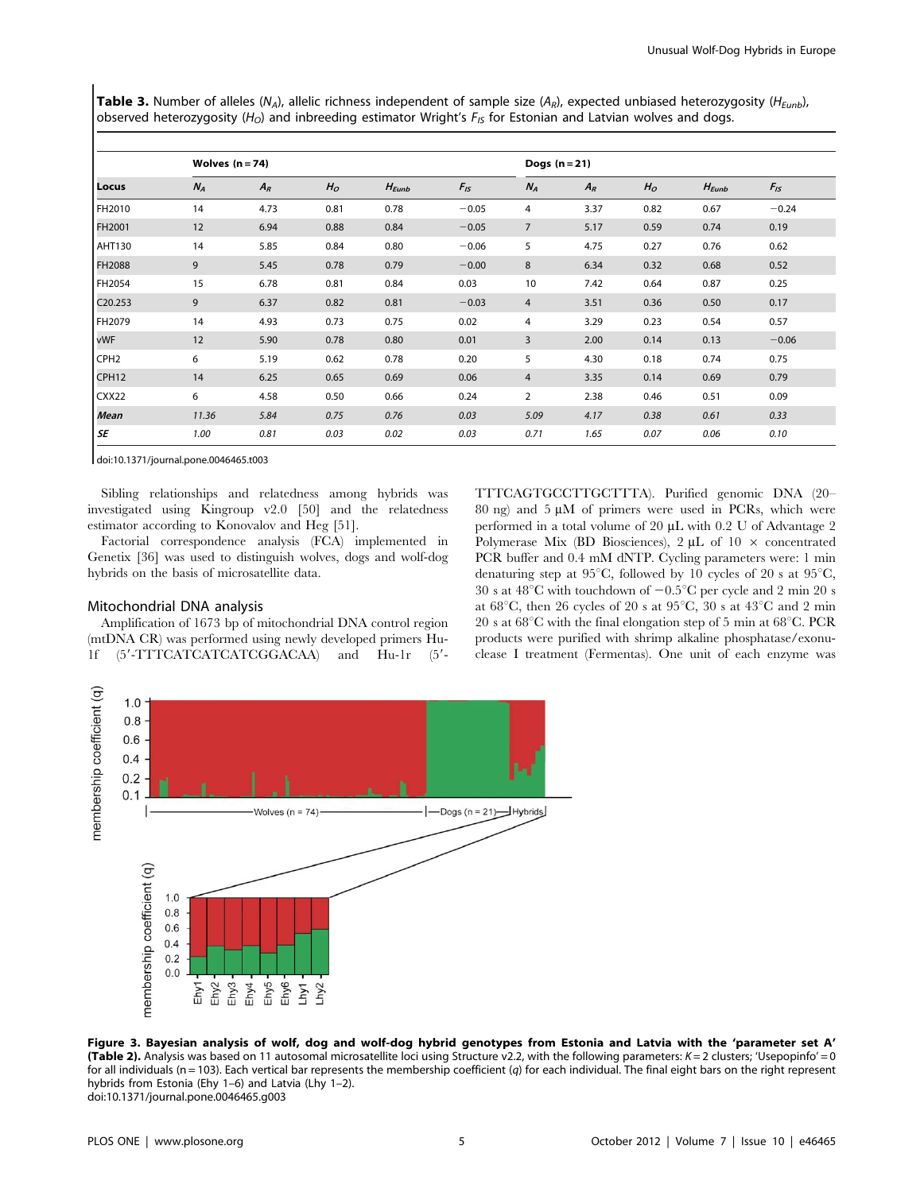**Table 3.** Number of alleles (N<sub>A</sub>), allelic richness independent of sample size (A<sub>R</sub>), expected unbiased heterozygosity (H<sub>Eunb</sub>), observed heterozygosity (H<sub>O</sub>) and inbreeding estimator Wright's  $F_{15}$  for Estonian and Latvian wolves and dogs.

| Locus            | Wolves $(n=74)$ |       |                |            | Dogs $(n=21)$ |                |       |                |            |          |
|------------------|-----------------|-------|----------------|------------|---------------|----------------|-------|----------------|------------|----------|
|                  | $N_A$           | $A_R$ | H <sub>o</sub> | $H_{Eunb}$ | $F_{IS}$      | $N_A$          | $A_R$ | H <sub>O</sub> | $H_{Eunb}$ | $F_{IS}$ |
| FH2010           | 14              | 4.73  | 0.81           | 0.78       | $-0.05$       | 4              | 3.37  | 0.82           | 0.67       | $-0.24$  |
| FH2001           | 12              | 6.94  | 0.88           | 0.84       | $-0.05$       | $\overline{7}$ | 5.17  | 0.59           | 0.74       | 0.19     |
| AHT130           | 14              | 5.85  | 0.84           | 0.80       | $-0.06$       | 5              | 4.75  | 0.27           | 0.76       | 0.62     |
| <b>FH2088</b>    | 9               | 5.45  | 0.78           | 0.79       | $-0.00$       | 8              | 6.34  | 0.32           | 0.68       | 0.52     |
| FH2054           | 15              | 6.78  | 0.81           | 0.84       | 0.03          | 10             | 7.42  | 0.64           | 0.87       | 0.25     |
| C20.253          | 9               | 6.37  | 0.82           | 0.81       | $-0.03$       | $\overline{4}$ | 3.51  | 0.36           | 0.50       | 0.17     |
| FH2079           | 14              | 4.93  | 0.73           | 0.75       | 0.02          | 4              | 3.29  | 0.23           | 0.54       | 0.57     |
| vWF              | 12              | 5.90  | 0.78           | 0.80       | 0.01          | 3              | 2.00  | 0.14           | 0.13       | $-0.06$  |
| CPH <sub>2</sub> | 6               | 5.19  | 0.62           | 0.78       | 0.20          | 5              | 4.30  | 0.18           | 0.74       | 0.75     |
| CPH12            | 14              | 6.25  | 0.65           | 0.69       | 0.06          | $\overline{4}$ | 3.35  | 0.14           | 0.69       | 0.79     |
| <b>CXX22</b>     | 6               | 4.58  | 0.50           | 0.66       | 0.24          | 2              | 2.38  | 0.46           | 0.51       | 0.09     |
| Mean             | 11.36           | 5.84  | 0.75           | 0.76       | 0.03          | 5.09           | 4.17  | 0.38           | 0.61       | 0.33     |
| <b>SE</b>        | 1.00            | 0.81  | 0.03           | 0.02       | 0.03          | 0.71           | 1.65  | 0.07           | 0.06       | 0.10     |

doi:10.1371/journal.pone.0046465.t003

Sibling relationships and relatedness among hybrids was investigated using Kingroup v2.0 [50] and the relatedness estimator according to Konovalov and Heg [51].

Factorial correspondence analysis (FCA) implemented in Genetix [36] was used to distinguish wolves, dogs and wolf-dog hybrids on the basis of microsatellite data.

#### Mitochondrial DNA analysis

Amplification of 1673 bp of mitochondrial DNA control region (mtDNA CR) was performed using newly developed primers Hu-1f (5'-TTTCATCATCATCGGACAA) and Hu-1r (5'- TTTCAGTGCCTTGCTTTA). Purified genomic DNA (20– 80 ng) and 5  $\mu$ M of primers were used in PCRs, which were performed in a total volume of 20 µL with 0.2 U of Advantage 2 Polymerase Mix (BD Biosciences), 2  $\mu$ L of 10  $\times$  concentrated PCR buffer and 0.4 mM dNTP. Cycling parameters were: 1 min denaturing step at  $95^{\circ}$ C, followed by 10 cycles of 20 s at  $95^{\circ}$ C, 30 s at  $48^{\circ}$ C with touchdown of  $-0.5^{\circ}$ C per cycle and 2 min 20 s at  $68^{\circ}$ C, then 26 cycles of 20 s at  $95^{\circ}$ C, 30 s at  $43^{\circ}$ C and 2 min 20 s at  $68^{\circ}$ C with the final elongation step of 5 min at  $68^{\circ}$ C. PCR products were purified with shrimp alkaline phosphatase/exonuclease I treatment (Fermentas). One unit of each enzyme was



Figure 3. Bayesian analysis of wolf, dog and wolf-dog hybrid genotypes from Estonia and Latvia with the 'parameter set A' (Table 2). Analysis was based on 11 autosomal microsatellite loci using Structure v2.2, with the following parameters:  $K = 2$  clusters; 'Usepopinfo' = 0 for all individuals (n = 103). Each vertical bar represents the membership coefficient (q) for each individual. The final eight bars on the right represent hybrids from Estonia (Ehy 1–6) and Latvia (Lhy 1–2). doi:10.1371/journal.pone.0046465.g003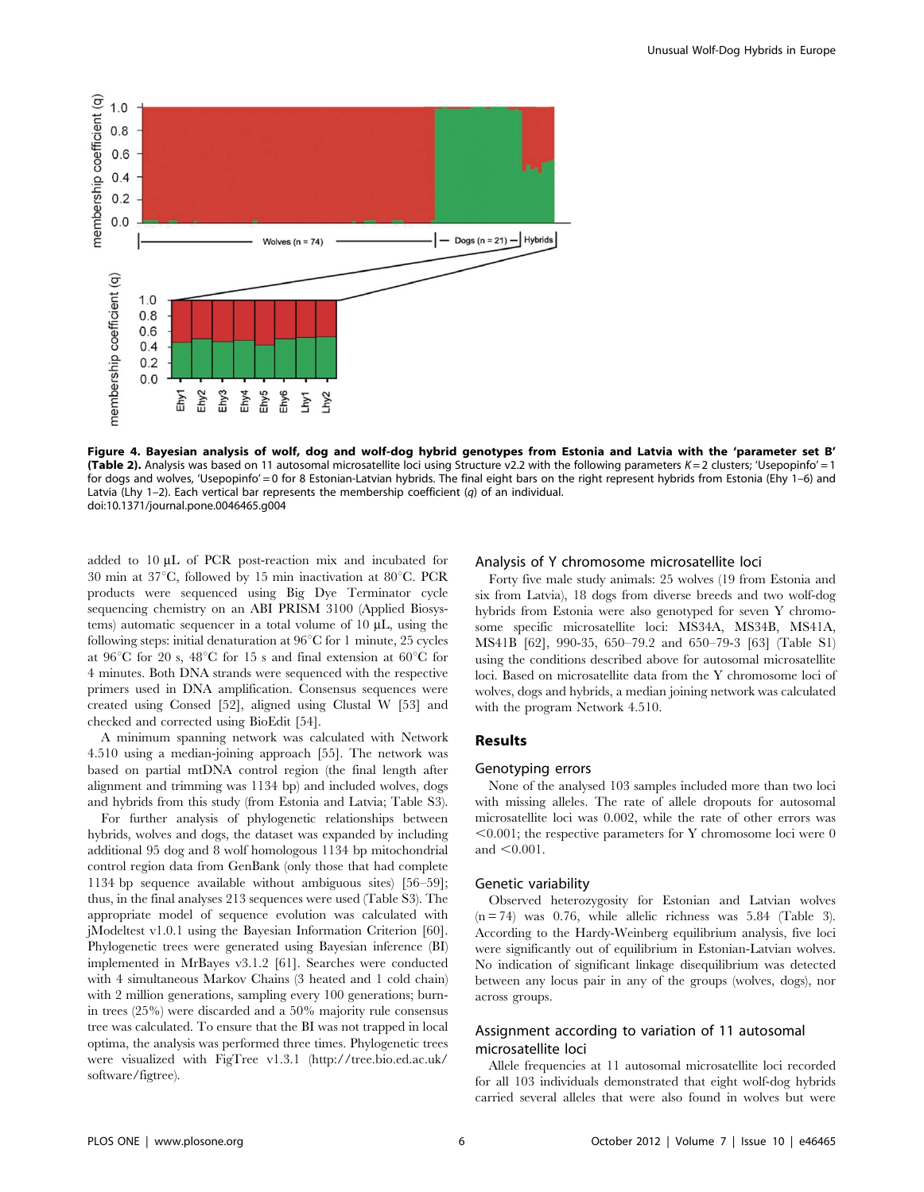

Figure 4. Bayesian analysis of wolf, dog and wolf-dog hybrid genotypes from Estonia and Latvia with the 'parameter set B' (Table 2). Analysis was based on 11 autosomal microsatellite loci using Structure v2.2 with the following parameters  $K = 2$  clusters; 'Usepopinfo' = 1 for dogs and wolves, 'Usepopinfo' = 0 for 8 Estonian-Latvian hybrids. The final eight bars on the right represent hybrids from Estonia (Ehy 1–6) and Latvia (Lhy 1-2). Each vertical bar represents the membership coefficient (q) of an individual. doi:10.1371/journal.pone.0046465.g004

added to 10 µL of PCR post-reaction mix and incubated for 30 min at  $37^{\circ}$ C, followed by 15 min inactivation at  $80^{\circ}$ C. PCR products were sequenced using Big Dye Terminator cycle sequencing chemistry on an ABI PRISM 3100 (Applied Biosystems) automatic sequencer in a total volume of  $10 \mu L$ , using the following steps: initial denaturation at  $96^{\circ}$ C for 1 minute, 25 cycles at  $96^{\circ}$ C for 20 s,  $48^{\circ}$ C for 15 s and final extension at  $60^{\circ}$ C for 4 minutes. Both DNA strands were sequenced with the respective primers used in DNA amplification. Consensus sequences were created using Consed [52], aligned using Clustal W [53] and checked and corrected using BioEdit [54].

A minimum spanning network was calculated with Network 4.510 using a median-joining approach [55]. The network was based on partial mtDNA control region (the final length after alignment and trimming was 1134 bp) and included wolves, dogs and hybrids from this study (from Estonia and Latvia; Table S3).

For further analysis of phylogenetic relationships between hybrids, wolves and dogs, the dataset was expanded by including additional 95 dog and 8 wolf homologous 1134 bp mitochondrial control region data from GenBank (only those that had complete 1134 bp sequence available without ambiguous sites) [56–59]; thus, in the final analyses 213 sequences were used (Table S3). The appropriate model of sequence evolution was calculated with jModeltest v1.0.1 using the Bayesian Information Criterion [60]. Phylogenetic trees were generated using Bayesian inference (BI) implemented in MrBayes v3.1.2 [61]. Searches were conducted with 4 simultaneous Markov Chains (3 heated and 1 cold chain) with 2 million generations, sampling every 100 generations; burnin trees (25%) were discarded and a 50% majority rule consensus tree was calculated. To ensure that the BI was not trapped in local optima, the analysis was performed three times. Phylogenetic trees were visualized with FigTree v1.3.1 (http://tree.bio.ed.ac.uk/ software/figtree).

#### Analysis of Y chromosome microsatellite loci

Forty five male study animals: 25 wolves (19 from Estonia and six from Latvia), 18 dogs from diverse breeds and two wolf-dog hybrids from Estonia were also genotyped for seven Y chromosome specific microsatellite loci: MS34A, MS34B, MS41A, MS41B [62], 990-35, 650–79.2 and 650–79-3 [63] (Table S1) using the conditions described above for autosomal microsatellite loci. Based on microsatellite data from the Y chromosome loci of wolves, dogs and hybrids, a median joining network was calculated with the program Network 4.510.

# Results

#### Genotyping errors

None of the analysed 103 samples included more than two loci with missing alleles. The rate of allele dropouts for autosomal microsatellite loci was 0.002, while the rate of other errors was  $< 0.001$ ; the respective parameters for Y chromosome loci were 0 and  $< 0.001$ .

#### Genetic variability

Observed heterozygosity for Estonian and Latvian wolves  $(n = 74)$  was 0.76, while allelic richness was 5.84 (Table 3). According to the Hardy-Weinberg equilibrium analysis, five loci were significantly out of equilibrium in Estonian-Latvian wolves. No indication of significant linkage disequilibrium was detected between any locus pair in any of the groups (wolves, dogs), nor across groups.

# Assignment according to variation of 11 autosomal microsatellite loci

Allele frequencies at 11 autosomal microsatellite loci recorded for all 103 individuals demonstrated that eight wolf-dog hybrids carried several alleles that were also found in wolves but were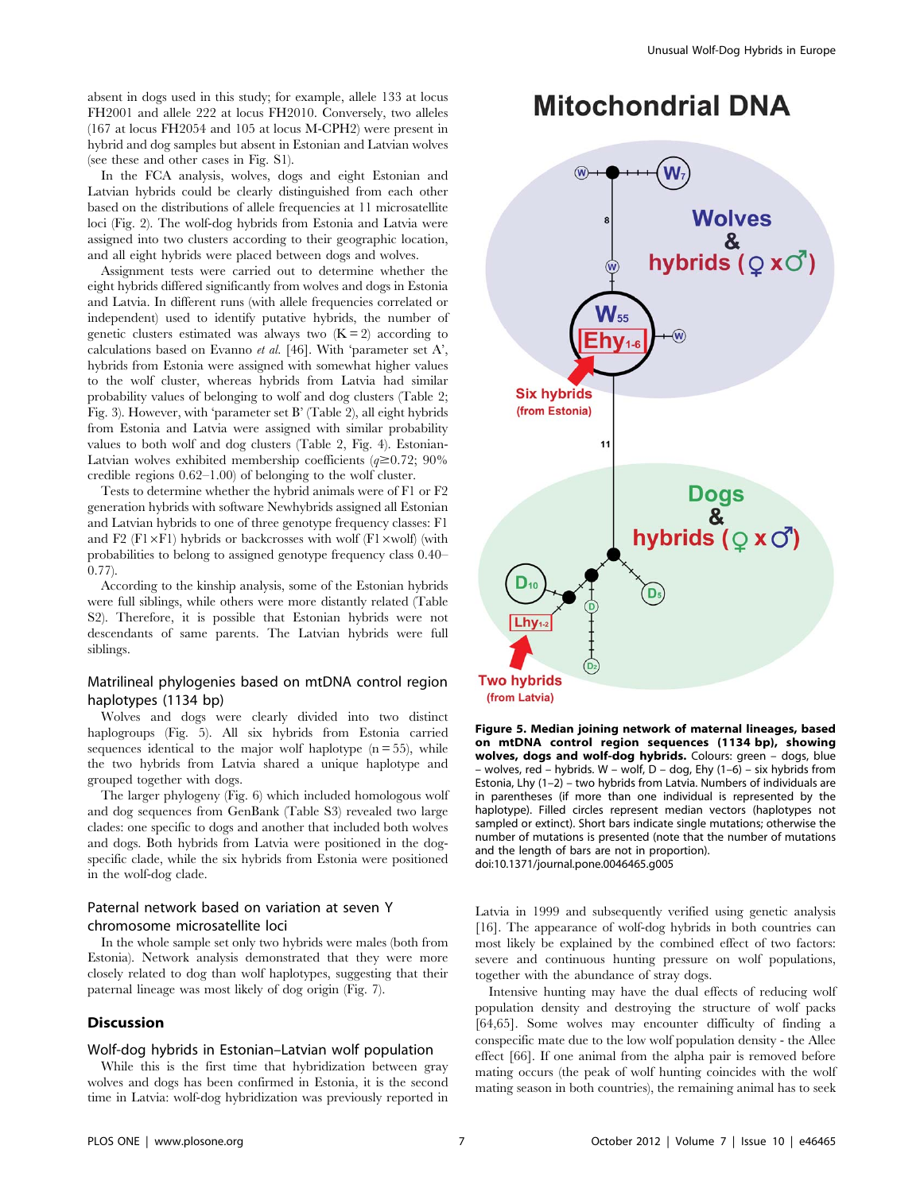absent in dogs used in this study; for example, allele 133 at locus FH2001 and allele 222 at locus FH2010. Conversely, two alleles (167 at locus FH2054 and 105 at locus M-CPH2) were present in hybrid and dog samples but absent in Estonian and Latvian wolves (see these and other cases in Fig. S1).

In the FCA analysis, wolves, dogs and eight Estonian and Latvian hybrids could be clearly distinguished from each other based on the distributions of allele frequencies at 11 microsatellite loci (Fig. 2). The wolf-dog hybrids from Estonia and Latvia were assigned into two clusters according to their geographic location, and all eight hybrids were placed between dogs and wolves.

Assignment tests were carried out to determine whether the eight hybrids differed significantly from wolves and dogs in Estonia and Latvia. In different runs (with allele frequencies correlated or independent) used to identify putative hybrids, the number of genetic clusters estimated was always two  $(K = 2)$  according to calculations based on Evanno et al. [46]. With 'parameter set A', hybrids from Estonia were assigned with somewhat higher values to the wolf cluster, whereas hybrids from Latvia had similar probability values of belonging to wolf and dog clusters (Table 2; Fig. 3). However, with 'parameter set B' (Table 2), all eight hybrids from Estonia and Latvia were assigned with similar probability values to both wolf and dog clusters (Table 2, Fig. 4). Estonian-Latvian wolves exhibited membership coefficients  $(q\geq 0.72; 90\%$ credible regions 0.62–1.00) of belonging to the wolf cluster.

Tests to determine whether the hybrid animals were of F1 or F2 generation hybrids with software Newhybrids assigned all Estonian and Latvian hybrids to one of three genotype frequency classes: F1 and F2 (F1 $\times$ F1) hybrids or backcrosses with wolf (F1 $\times$ wolf) (with probabilities to belong to assigned genotype frequency class 0.40– 0.77).

According to the kinship analysis, some of the Estonian hybrids were full siblings, while others were more distantly related (Table S2). Therefore, it is possible that Estonian hybrids were not descendants of same parents. The Latvian hybrids were full siblings.

# Matrilineal phylogenies based on mtDNA control region haplotypes (1134 bp)

Wolves and dogs were clearly divided into two distinct haplogroups (Fig. 5). All six hybrids from Estonia carried sequences identical to the major wolf haplotype  $(n = 55)$ , while the two hybrids from Latvia shared a unique haplotype and grouped together with dogs.

The larger phylogeny (Fig. 6) which included homologous wolf and dog sequences from GenBank (Table S3) revealed two large clades: one specific to dogs and another that included both wolves and dogs. Both hybrids from Latvia were positioned in the dogspecific clade, while the six hybrids from Estonia were positioned in the wolf-dog clade.

## Paternal network based on variation at seven Y chromosome microsatellite loci

In the whole sample set only two hybrids were males (both from Estonia). Network analysis demonstrated that they were more closely related to dog than wolf haplotypes, suggesting that their paternal lineage was most likely of dog origin (Fig. 7).

## **Discussion**

#### Wolf-dog hybrids in Estonian–Latvian wolf population

While this is the first time that hybridization between gray wolves and dogs has been confirmed in Estonia, it is the second time in Latvia: wolf-dog hybridization was previously reported in



**Mitochondrial DNA** 



Figure 5. Median joining network of maternal lineages, based on mtDNA control region sequences (1134 bp), showing wolves, dogs and wolf-dog hybrids. Colours: green - dogs, blue wolves, red – hybrids. W – wolf, D – dog, Ehy  $(1-6)$  – six hybrids from Estonia, Lhy (1–2) – two hybrids from Latvia. Numbers of individuals are in parentheses (if more than one individual is represented by the haplotype). Filled circles represent median vectors (haplotypes not sampled or extinct). Short bars indicate single mutations; otherwise the number of mutations is presented (note that the number of mutations and the length of bars are not in proportion). doi:10.1371/journal.pone.0046465.g005

Latvia in 1999 and subsequently verified using genetic analysis [16]. The appearance of wolf-dog hybrids in both countries can most likely be explained by the combined effect of two factors: severe and continuous hunting pressure on wolf populations, together with the abundance of stray dogs.

Intensive hunting may have the dual effects of reducing wolf population density and destroying the structure of wolf packs [64,65]. Some wolves may encounter difficulty of finding a conspecific mate due to the low wolf population density - the Allee effect [66]. If one animal from the alpha pair is removed before mating occurs (the peak of wolf hunting coincides with the wolf mating season in both countries), the remaining animal has to seek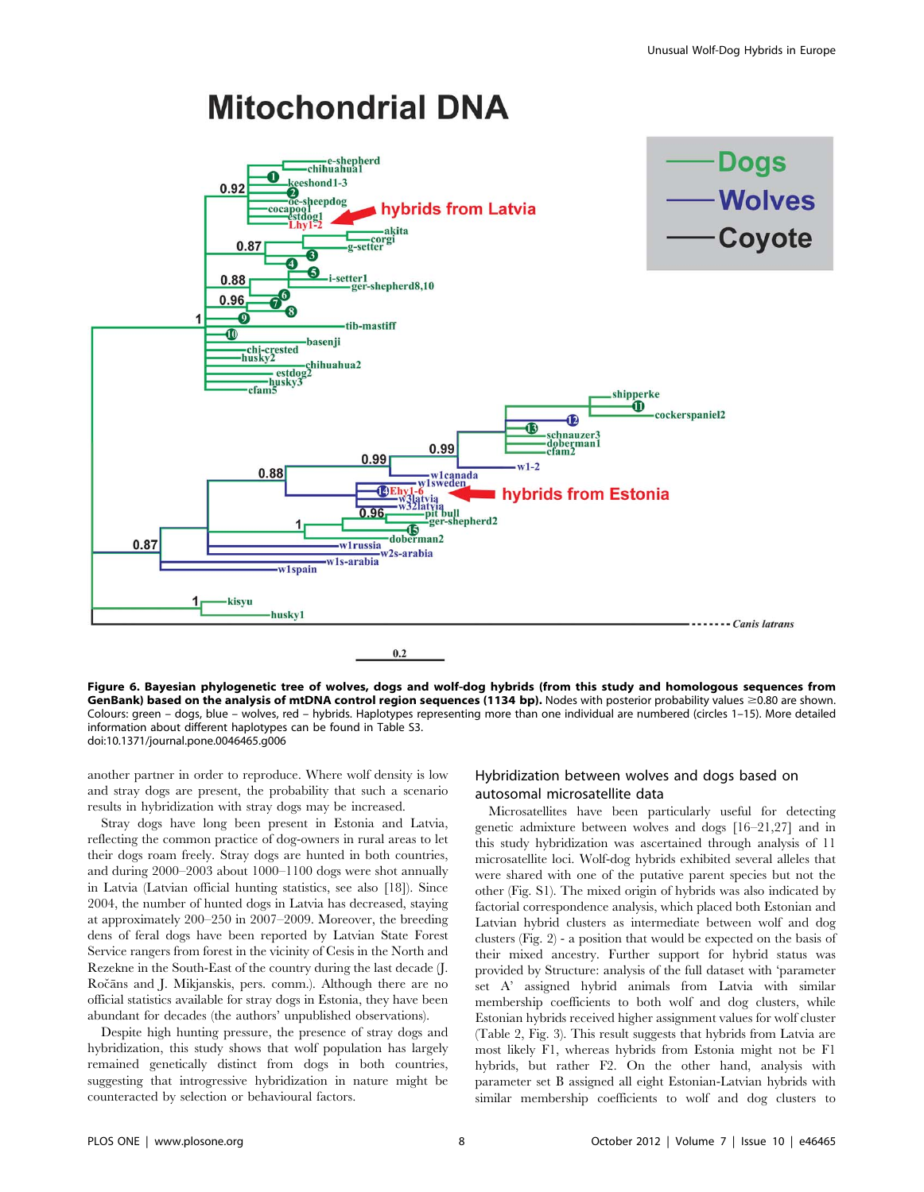# **Mitochondrial DNA**



Figure 6. Bayesian phylogenetic tree of wolves, dogs and wolf-dog hybrids (from this study and homologous sequences from GenBank) based on the analysis of mtDNA control region sequences (1134 bp). Nodes with posterior probability values  $\geq$ 0.80 are shown. Colours: green – dogs, blue – wolves, red – hybrids. Haplotypes representing more than one individual are numbered (circles 1–15). More detailed information about different haplotypes can be found in Table S3. doi:10.1371/journal.pone.0046465.g006

another partner in order to reproduce. Where wolf density is low and stray dogs are present, the probability that such a scenario results in hybridization with stray dogs may be increased.

Stray dogs have long been present in Estonia and Latvia, reflecting the common practice of dog-owners in rural areas to let their dogs roam freely. Stray dogs are hunted in both countries, and during 2000–2003 about 1000–1100 dogs were shot annually in Latvia (Latvian official hunting statistics, see also [18]). Since 2004, the number of hunted dogs in Latvia has decreased, staying at approximately 200–250 in 2007–2009. Moreover, the breeding dens of feral dogs have been reported by Latvian State Forest Service rangers from forest in the vicinity of Cesis in the North and Rezekne in the South-East of the country during the last decade (J. Ročāns and J. Mikjanskis, pers. comm.). Although there are no official statistics available for stray dogs in Estonia, they have been abundant for decades (the authors' unpublished observations).

Despite high hunting pressure, the presence of stray dogs and hybridization, this study shows that wolf population has largely remained genetically distinct from dogs in both countries, suggesting that introgressive hybridization in nature might be counteracted by selection or behavioural factors.

# Hybridization between wolves and dogs based on autosomal microsatellite data

Microsatellites have been particularly useful for detecting genetic admixture between wolves and dogs [16–21,27] and in this study hybridization was ascertained through analysis of 11 microsatellite loci. Wolf-dog hybrids exhibited several alleles that were shared with one of the putative parent species but not the other (Fig. S1). The mixed origin of hybrids was also indicated by factorial correspondence analysis, which placed both Estonian and Latvian hybrid clusters as intermediate between wolf and dog clusters (Fig. 2) - a position that would be expected on the basis of their mixed ancestry. Further support for hybrid status was provided by Structure: analysis of the full dataset with 'parameter set A' assigned hybrid animals from Latvia with similar membership coefficients to both wolf and dog clusters, while Estonian hybrids received higher assignment values for wolf cluster (Table 2, Fig. 3). This result suggests that hybrids from Latvia are most likely F1, whereas hybrids from Estonia might not be F1 hybrids, but rather F2. On the other hand, analysis with parameter set B assigned all eight Estonian-Latvian hybrids with similar membership coefficients to wolf and dog clusters to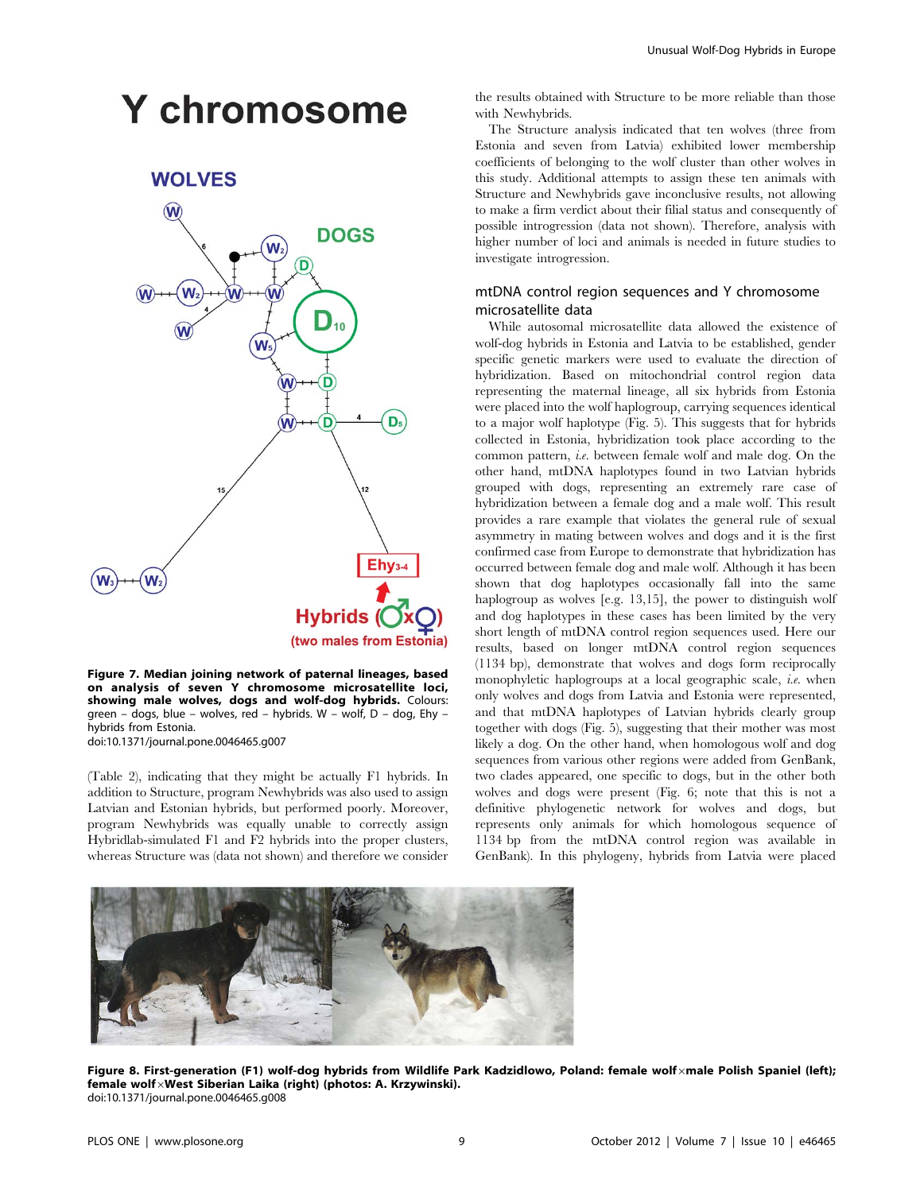# Y chromosome



Figure 7. Median joining network of paternal lineages, based on analysis of seven Y chromosome microsatellite loci, showing male wolves, dogs and wolf-dog hybrids. Colours: green – dogs, blue – wolves, red – hybrids. W – wolf, D – dog, Ehy – hybrids from Estonia. doi:10.1371/journal.pone.0046465.g007

(Table 2), indicating that they might be actually F1 hybrids. In addition to Structure, program Newhybrids was also used to assign Latvian and Estonian hybrids, but performed poorly. Moreover, program Newhybrids was equally unable to correctly assign Hybridlab-simulated F1 and F2 hybrids into the proper clusters, whereas Structure was (data not shown) and therefore we consider the results obtained with Structure to be more reliable than those with Newhybrids.

The Structure analysis indicated that ten wolves (three from Estonia and seven from Latvia) exhibited lower membership coefficients of belonging to the wolf cluster than other wolves in this study. Additional attempts to assign these ten animals with Structure and Newhybrids gave inconclusive results, not allowing to make a firm verdict about their filial status and consequently of possible introgression (data not shown). Therefore, analysis with higher number of loci and animals is needed in future studies to investigate introgression.

# mtDNA control region sequences and Y chromosome microsatellite data

While autosomal microsatellite data allowed the existence of wolf-dog hybrids in Estonia and Latvia to be established, gender specific genetic markers were used to evaluate the direction of hybridization. Based on mitochondrial control region data representing the maternal lineage, all six hybrids from Estonia were placed into the wolf haplogroup, carrying sequences identical to a major wolf haplotype (Fig. 5). This suggests that for hybrids collected in Estonia, hybridization took place according to the common pattern, i.e. between female wolf and male dog. On the other hand, mtDNA haplotypes found in two Latvian hybrids grouped with dogs, representing an extremely rare case of hybridization between a female dog and a male wolf. This result provides a rare example that violates the general rule of sexual asymmetry in mating between wolves and dogs and it is the first confirmed case from Europe to demonstrate that hybridization has occurred between female dog and male wolf. Although it has been shown that dog haplotypes occasionally fall into the same haplogroup as wolves [e.g. 13,15], the power to distinguish wolf and dog haplotypes in these cases has been limited by the very short length of mtDNA control region sequences used. Here our results, based on longer mtDNA control region sequences (1134 bp), demonstrate that wolves and dogs form reciprocally monophyletic haplogroups at a local geographic scale, i.e. when only wolves and dogs from Latvia and Estonia were represented, and that mtDNA haplotypes of Latvian hybrids clearly group together with dogs (Fig. 5), suggesting that their mother was most likely a dog. On the other hand, when homologous wolf and dog sequences from various other regions were added from GenBank, two clades appeared, one specific to dogs, but in the other both wolves and dogs were present (Fig. 6; note that this is not a definitive phylogenetic network for wolves and dogs, but represents only animals for which homologous sequence of 1134 bp from the mtDNA control region was available in GenBank). In this phylogeny, hybrids from Latvia were placed



Figure 8. First-generation (F1) wolf-dog hybrids from Wildlife Park Kadzidlowo, Poland: female wolf×male Polish Spaniel (left); female wolf×West Siberian Laika (right) (photos: A. Krzywinski). doi:10.1371/journal.pone.0046465.g008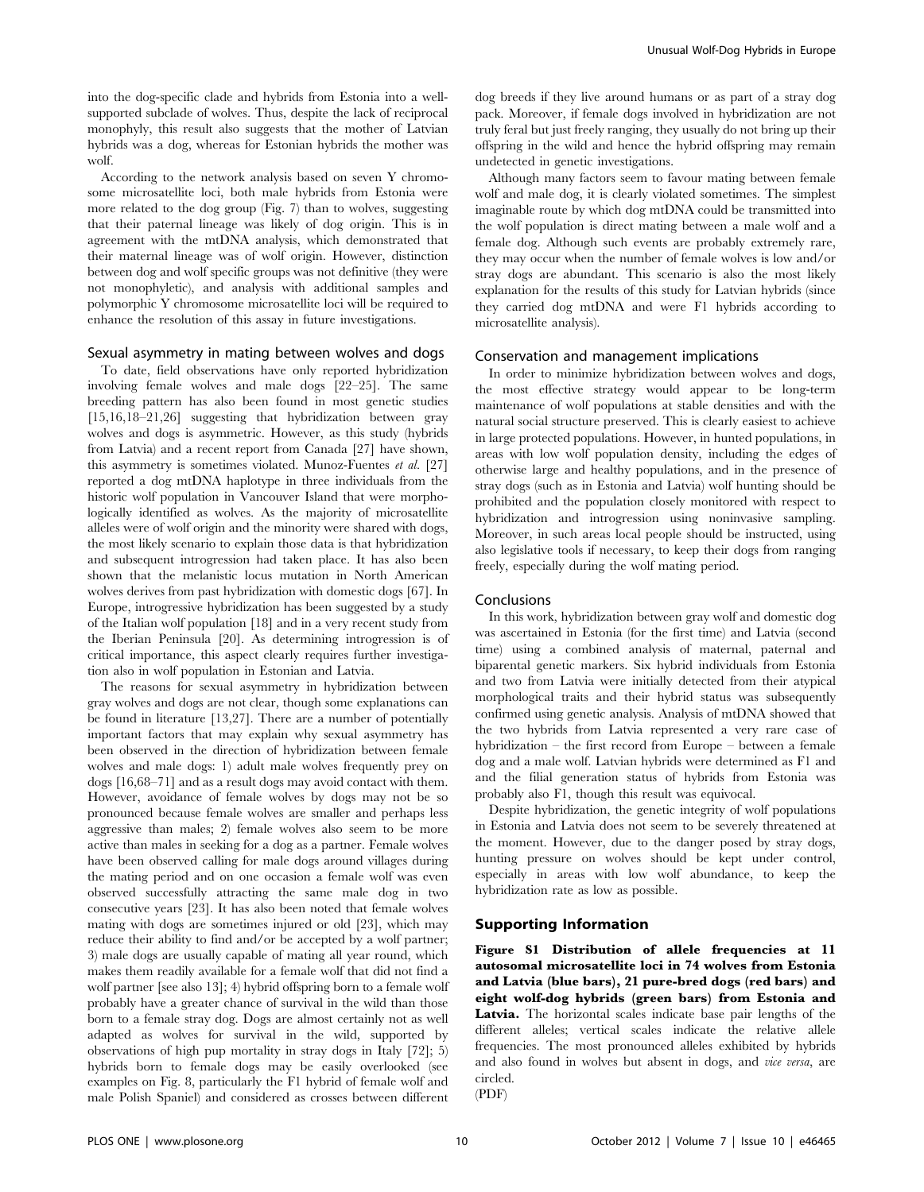into the dog-specific clade and hybrids from Estonia into a wellsupported subclade of wolves. Thus, despite the lack of reciprocal monophyly, this result also suggests that the mother of Latvian hybrids was a dog, whereas for Estonian hybrids the mother was wolf.

According to the network analysis based on seven Y chromosome microsatellite loci, both male hybrids from Estonia were more related to the dog group (Fig. 7) than to wolves, suggesting that their paternal lineage was likely of dog origin. This is in agreement with the mtDNA analysis, which demonstrated that their maternal lineage was of wolf origin. However, distinction between dog and wolf specific groups was not definitive (they were not monophyletic), and analysis with additional samples and polymorphic Y chromosome microsatellite loci will be required to enhance the resolution of this assay in future investigations.

# Sexual asymmetry in mating between wolves and dogs

To date, field observations have only reported hybridization involving female wolves and male dogs [22–25]. The same breeding pattern has also been found in most genetic studies [15,16,18–21,26] suggesting that hybridization between gray wolves and dogs is asymmetric. However, as this study (hybrids from Latvia) and a recent report from Canada [27] have shown, this asymmetry is sometimes violated. Munoz-Fuentes et al. [27] reported a dog mtDNA haplotype in three individuals from the historic wolf population in Vancouver Island that were morphologically identified as wolves. As the majority of microsatellite alleles were of wolf origin and the minority were shared with dogs, the most likely scenario to explain those data is that hybridization and subsequent introgression had taken place. It has also been shown that the melanistic locus mutation in North American wolves derives from past hybridization with domestic dogs [67]. In Europe, introgressive hybridization has been suggested by a study of the Italian wolf population [18] and in a very recent study from the Iberian Peninsula [20]. As determining introgression is of critical importance, this aspect clearly requires further investigation also in wolf population in Estonian and Latvia.

The reasons for sexual asymmetry in hybridization between gray wolves and dogs are not clear, though some explanations can be found in literature [13,27]. There are a number of potentially important factors that may explain why sexual asymmetry has been observed in the direction of hybridization between female wolves and male dogs: 1) adult male wolves frequently prey on dogs [16,68–71] and as a result dogs may avoid contact with them. However, avoidance of female wolves by dogs may not be so pronounced because female wolves are smaller and perhaps less aggressive than males; 2) female wolves also seem to be more active than males in seeking for a dog as a partner. Female wolves have been observed calling for male dogs around villages during the mating period and on one occasion a female wolf was even observed successfully attracting the same male dog in two consecutive years [23]. It has also been noted that female wolves mating with dogs are sometimes injured or old [23], which may reduce their ability to find and/or be accepted by a wolf partner; 3) male dogs are usually capable of mating all year round, which makes them readily available for a female wolf that did not find a wolf partner [see also 13]; 4) hybrid offspring born to a female wolf probably have a greater chance of survival in the wild than those born to a female stray dog. Dogs are almost certainly not as well adapted as wolves for survival in the wild, supported by observations of high pup mortality in stray dogs in Italy [72]; 5) hybrids born to female dogs may be easily overlooked (see examples on Fig. 8, particularly the F1 hybrid of female wolf and male Polish Spaniel) and considered as crosses between different

dog breeds if they live around humans or as part of a stray dog pack. Moreover, if female dogs involved in hybridization are not truly feral but just freely ranging, they usually do not bring up their offspring in the wild and hence the hybrid offspring may remain undetected in genetic investigations.

Although many factors seem to favour mating between female wolf and male dog, it is clearly violated sometimes. The simplest imaginable route by which dog mtDNA could be transmitted into the wolf population is direct mating between a male wolf and a female dog. Although such events are probably extremely rare, they may occur when the number of female wolves is low and/or stray dogs are abundant. This scenario is also the most likely explanation for the results of this study for Latvian hybrids (since they carried dog mtDNA and were F1 hybrids according to microsatellite analysis).

#### Conservation and management implications

In order to minimize hybridization between wolves and dogs, the most effective strategy would appear to be long-term maintenance of wolf populations at stable densities and with the natural social structure preserved. This is clearly easiest to achieve in large protected populations. However, in hunted populations, in areas with low wolf population density, including the edges of otherwise large and healthy populations, and in the presence of stray dogs (such as in Estonia and Latvia) wolf hunting should be prohibited and the population closely monitored with respect to hybridization and introgression using noninvasive sampling. Moreover, in such areas local people should be instructed, using also legislative tools if necessary, to keep their dogs from ranging freely, especially during the wolf mating period.

## Conclusions

In this work, hybridization between gray wolf and domestic dog was ascertained in Estonia (for the first time) and Latvia (second time) using a combined analysis of maternal, paternal and biparental genetic markers. Six hybrid individuals from Estonia and two from Latvia were initially detected from their atypical morphological traits and their hybrid status was subsequently confirmed using genetic analysis. Analysis of mtDNA showed that the two hybrids from Latvia represented a very rare case of hybridization – the first record from Europe – between a female dog and a male wolf. Latvian hybrids were determined as F1 and and the filial generation status of hybrids from Estonia was probably also F1, though this result was equivocal.

Despite hybridization, the genetic integrity of wolf populations in Estonia and Latvia does not seem to be severely threatened at the moment. However, due to the danger posed by stray dogs, hunting pressure on wolves should be kept under control, especially in areas with low wolf abundance, to keep the hybridization rate as low as possible.

#### Supporting Information

Figure S1 Distribution of allele frequencies at 11 autosomal microsatellite loci in 74 wolves from Estonia and Latvia (blue bars), 21 pure-bred dogs (red bars) and eight wolf-dog hybrids (green bars) from Estonia and Latvia. The horizontal scales indicate base pair lengths of the different alleles; vertical scales indicate the relative allele frequencies. The most pronounced alleles exhibited by hybrids and also found in wolves but absent in dogs, and vice versa, are circled.

(PDF)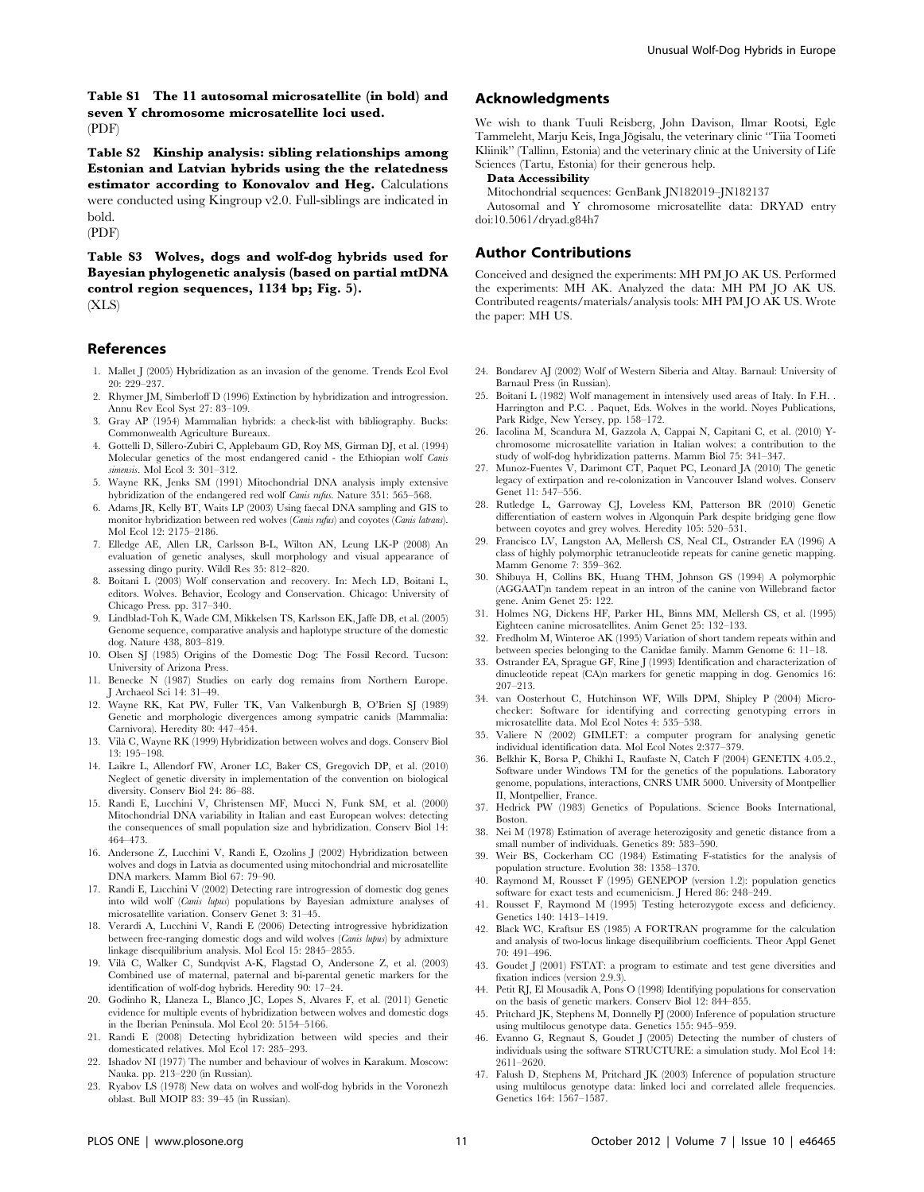Table S1 The 11 autosomal microsatellite (in bold) and seven Y chromosome microsatellite loci used. (PDF)

Table S2 Kinship analysis: sibling relationships among Estonian and Latvian hybrids using the the relatedness estimator according to Konovalov and Heg. Calculations were conducted using Kingroup v2.0. Full-siblings are indicated in bold.

(PDF)

Table S3 Wolves, dogs and wolf-dog hybrids used for Bayesian phylogenetic analysis (based on partial mtDNA control region sequences, 1134 bp; Fig. 5).

(XLS)

#### References

- 1. Mallet J (2005) Hybridization as an invasion of the genome. Trends Ecol Evol 20: 229–237.
- 2. Rhymer JM, Simberloff D (1996) Extinction by hybridization and introgression. Annu Rev Ecol Syst 27: 83–109.
- 3. Gray AP (1954) Mammalian hybrids: a check-list with bibliography. Bucks: Commonwealth Agriculture Bureaux.
- 4. Gottelli D, Sillero-Zubiri C, Applebaum GD, Roy MS, Girman DJ, et al. (1994) Molecular genetics of the most endangered canid - the Ethiopian wolf Canis simensis. Mol Ecol 3: 301–312.
- 5. Wayne RK, Jenks SM (1991) Mitochondrial DNA analysis imply extensive hybridization of the endangered red wolf Canis rufus. Nature 351: 565–568.
- 6. Adams JR, Kelly BT, Waits LP (2003) Using faecal DNA sampling and GIS to monitor hybridization between red wolves (Canis rufus) and coyotes (Canis latrans). Mol Ecol 12: 2175–2186.
- 7. Elledge AE, Allen LR, Carlsson B-L, Wilton AN, Leung LK-P (2008) An evaluation of genetic analyses, skull morphology and visual appearance of assessing dingo purity. Wildl Res 35: 812–820.
- 8. Boitani L (2003) Wolf conservation and recovery. In: Mech LD, Boitani L, editors. Wolves. Behavior, Ecology and Conservation. Chicago: University of Chicago Press. pp. 317–340.
- 9. Lindblad-Toh K, Wade CM, Mikkelsen TS, Karlsson EK, Jaffe DB, et al. (2005) Genome sequence, comparative analysis and haplotype structure of the domestic dog. Nature 438, 803–819.
- 10. Olsen SJ (1985) Origins of the Domestic Dog: The Fossil Record. Tucson: University of Arizona Press.
- 11. Benecke N (1987) Studies on early dog remains from Northern Europe. J Archaeol Sci 14: 31–49.
- 12. Wayne RK, Kat PW, Fuller TK, Van Valkenburgh B, O'Brien SJ (1989) Genetic and morphologic divergences among sympatric canids (Mammalia: Carnivora). Heredity 80: 447–454.
- 13. Vila` C, Wayne RK (1999) Hybridization between wolves and dogs. Conserv Biol 13: 195–198.
- 14. Laikre L, Allendorf FW, Aroner LC, Baker CS, Gregovich DP, et al. (2010) Neglect of genetic diversity in implementation of the convention on biological diversity. Conserv Biol 24: 86–88.
- 15. Randi E, Lucchini V, Christensen MF, Mucci N, Funk SM, et al. (2000) Mitochondrial DNA variability in Italian and east European wolves: detecting the consequences of small population size and hybridization. Conserv Biol 14: 464–473.
- 16. Andersone Z, Lucchini V, Randi E, Ozolins J (2002) Hybridization between wolves and dogs in Latvia as documented using mitochondrial and microsatellite DNA markers. Mamm Biol 67: 79–90.
- 17. Randi E, Lucchini V (2002) Detecting rare introgression of domestic dog genes into wild wolf (Canis lupus) populations by Bayesian admixture analyses of microsatellite variation. Conserv Genet 3: 31–45.
- 18. Verardi A, Lucchini V, Randi E (2006) Detecting introgressive hybridization between free-ranging domestic dogs and wild wolves (Canis lupus) by admixture linkage disequilibrium analysis. Mol Ecol 15: 2845–2855.
- 19. Vila` C, Walker C, Sundqvist A-K, Flagstad O, Andersone Z, et al. (2003) Combined use of maternal, paternal and bi-parental genetic markers for the identification of wolf-dog hybrids. Heredity 90: 17–24.
- 20. Godinho R, Llaneza L, Blanco JC, Lopes S, Alvares F, et al. (2011) Genetic evidence for multiple events of hybridization between wolves and domestic dogs in the Iberian Peninsula. Mol Ecol 20: 5154–5166.
- 21. Randi E (2008) Detecting hybridization between wild species and their domesticated relatives. Mol Ecol 17: 285–293.
- 22. Ishadov NI (1977) The number and behaviour of wolves in Karakum. Moscow: Nauka. pp. 213–220 (in Russian).
- 23. Ryabov LS (1978) New data on wolves and wolf-dog hybrids in the Voronezh oblast. Bull MOIP 83: 39–45 (in Russian).

# Acknowledgments

We wish to thank Tuuli Reisberg, John Davison, Ilmar Rootsi, Egle Tammeleht, Marju Keis, Inga Jõgisalu, the veterinary clinic "Tiia Toometi Kliinik'' (Tallinn, Estonia) and the veterinary clinic at the University of Life Sciences (Tartu, Estonia) for their generous help.

## Data Accessibility

Mitochondrial sequences: GenBank JN182019–JN182137

Autosomal and Y chromosome microsatellite data: DRYAD entry doi:10.5061/dryad.g84h7

#### Author Contributions

Conceived and designed the experiments: MH PM JO AK US. Performed the experiments: MH AK. Analyzed the data: MH PM JO AK US. Contributed reagents/materials/analysis tools: MH PM JO AK US. Wrote the paper: MH US.

- 24. Bondarev AJ (2002) Wolf of Western Siberia and Altay. Barnaul: University of Barnaul Press (in Russian).
- 25. Boitani L (1982) Wolf management in intensively used areas of Italy. In F.H. . Harrington and P.C. . Paquet, Eds. Wolves in the world. Noyes Publications, Park Ridge, New Yersey, pp. 158–172.
- 26. Iacolina M, Scandura M, Gazzola A, Cappai N, Capitani C, et al. (2010) Ychromosome microsatellite variation in Italian wolves: a contribution to the study of wolf-dog hybridization patterns. Mamm Biol 75: 341–347.
- 27. Munoz-Fuentes V, Darimont CT, Paquet PC, Leonard JA (2010) The genetic legacy of extirpation and re-colonization in Vancouver Island wolves. Conserv Genet 11: 547–556.
- 28. Rutledge L, Garroway CJ, Loveless KM, Patterson BR (2010) Genetic differentiation of eastern wolves in Algonquin Park despite bridging gene flow between coyotes and grey wolves. Heredity 105: 520–531.
- 29. Francisco LV, Langston AA, Mellersh CS, Neal CL, Ostrander EA (1996) A class of highly polymorphic tetranucleotide repeats for canine genetic mapping. Mamm Genome 7: 359–362.
- 30. Shibuya H, Collins BK, Huang THM, Johnson GS (1994) A polymorphic (AGGAAT)n tandem repeat in an intron of the canine von Willebrand factor gene. Anim Genet 25: 122.
- 31. Holmes NG, Dickens HF, Parker HL, Binns MM, Mellersh CS, et al. (1995) Eighteen canine microsatellites. Anim Genet 25: 132–133.
- 32. Fredholm M, Winteroe AK (1995) Variation of short tandem repeats within and between species belonging to the Canidae family. Mamm Genome 6: 11–18.
- 33. Ostrander EA, Sprague GF, Rine J (1993) Identification and characterization of dinucleotide repeat (CA)n markers for genetic mapping in dog. Genomics 16: 207–213.
- 34. van Oosterhout C, Hutchinson WF, Wills DPM, Shipley P (2004) Microchecker: Software for identifying and correcting genotyping errors in microsatellite data. Mol Ecol Notes 4: 535–538.
- 35. Valiere N (2002) GIMLET: a computer program for analysing genetic individual identification data. Mol Ecol Notes 2:377–379.
- 36. Belkhir K, Borsa P, Chikhi L, Raufaste N, Catch F (2004) GENETIX 4.05.2., Software under Windows TM for the genetics of the populations. Laboratory genome, populations, interactions, CNRS UMR 5000. University of Montpellier II, Montpellier, France.
- 37. Hedrick PW (1983) Genetics of Populations. Science Books International, Boston.
- 38. Nei M (1978) Estimation of average heterozigosity and genetic distance from a small number of individuals. Genetics 89: 583–590.
- 39. Weir BS, Cockerham CC (1984) Estimating F-statistics for the analysis of population structure. Evolution 38: 1358–1370.
- 40. Raymond M, Rousset F (1995) GENEPOP (version 1.2): population genetics software for exact tests and ecumenicism. J Hered 86: 248–249.
- 41. Rousset F, Raymond M (1995) Testing heterozygote excess and deficiency. Genetics 140: 1413–1419.
- 42. Black WC, Kraftsur ES (1985) A FORTRAN programme for the calculation and analysis of two-locus linkage disequilibrium coefficients. Theor Appl Genet 70: 491–496.
- 43. Goudet J (2001) FSTAT: a program to estimate and test gene diversities and fixation indices (version 2.9.3).
- 44. Petit RJ, El Mousadik A, Pons O (1998) Identifying populations for conservation on the basis of genetic markers. Conserv Biol 12: 844–855.
- 45. Pritchard JK, Stephens M, Donnelly PJ (2000) Inference of population structure using multilocus genotype data. Genetics 155: 945–959.
- 46. Evanno G, Regnaut S, Goudet J (2005) Detecting the number of clusters of individuals using the software STRUCTURE: a simulation study. Mol Ecol 14: 2611–2620.
- 47. Falush D, Stephens M, Pritchard JK (2003) Inference of population structure using multilocus genotype data: linked loci and correlated allele frequencies. Genetics 164: 1567–1587.